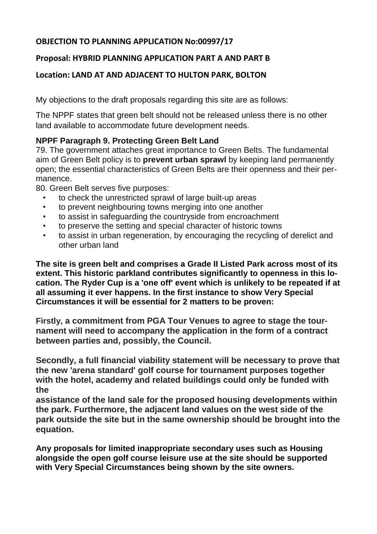# **OBJECTION TO PLANNING APPLICATION No:00997/17**

## **Proposal: HYBRID PLANNING APPLICATION PART A AND PART B**

## **Location: LAND AT AND ADJACENT TO HULTON PARK, BOLTON**

My objections to the draft proposals regarding this site are as follows:

The NPPF states that green belt should not be released unless there is no other land available to accommodate future development needs.

# **NPPF Paragraph 9. Protecting Green Belt Land**

79. The government attaches great importance to Green Belts. The fundamental aim of Green Belt policy is to **prevent urban sprawl** by keeping land permanently open; the essential characteristics of Green Belts are their openness and their permanence.

80. Green Belt serves five purposes:

- to check the unrestricted sprawl of large built-up areas
- to prevent neighbouring towns merging into one another
- to assist in safeguarding the countryside from encroachment
- to preserve the setting and special character of historic towns
- to assist in urban regeneration, by encouraging the recycling of derelict and other urban land

**The site is green belt and comprises a Grade II Listed Park across most of its extent. This historic parkland contributes significantly to openness in this location. The Ryder Cup is a 'one off' event which is unlikely to be repeated if at all assuming it ever happens. In the first instance to show Very Special Circumstances it will be essential for 2 matters to be proven:**

**Firstly, a commitment from PGA Tour Venues to agree to stage the tournament will need to accompany the application in the form of a contract between parties and, possibly, the Council.**

**Secondly, a full financial viability statement will be necessary to prove that the new 'arena standard' golf course for tournament purposes together with the hotel, academy and related buildings could only be funded with the**

**assistance of the land sale for the proposed housing developments within the park. Furthermore, the adjacent land values on the west side of the park outside the site but in the same ownership should be brought into the equation.**

**Any proposals for limited inappropriate secondary uses such as Housing alongside the open golf course leisure use at the site should be supported with Very Special Circumstances being shown by the site owners.**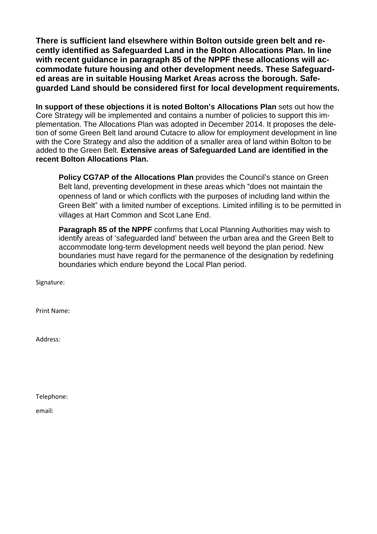**There is sufficient land elsewhere within Bolton outside green belt and recently identified as Safeguarded Land in the Bolton Allocations Plan. In line with recent guidance in paragraph 85 of the NPPF these allocations will accommodate future housing and other development needs. These Safeguarded areas are in suitable Housing Market Areas across the borough. Safeguarded Land should be considered first for local development requirements.**

**In support of these objections it is noted Bolton's Allocations Plan** sets out how the Core Strategy will be implemented and contains a number of policies to support this implementation. The Allocations Plan was adopted in December 2014. It proposes the deletion of some Green Belt land around Cutacre to allow for employment development in line with the Core Strategy and also the addition of a smaller area of land within Bolton to be added to the Green Belt. **Extensive areas of Safeguarded Land are identified in the recent Bolton Allocations Plan.**

**Policy CG7AP of the Allocations Plan** provides the Council's stance on Green Belt land, preventing development in these areas which "does not maintain the openness of land or which conflicts with the purposes of including land within the Green Belt" with a limited number of exceptions. Limited infilling is to be permitted in villages at Hart Common and Scot Lane End.

**Paragraph 85 of the NPPF** confirms that Local Planning Authorities may wish to identify areas of 'safeguarded land' between the urban area and the Green Belt to accommodate long-term development needs well beyond the plan period. New boundaries must have regard for the permanence of the designation by redefining boundaries which endure beyond the Local Plan period.

Signature:

Print Name:

Address:

Telephone:

email: